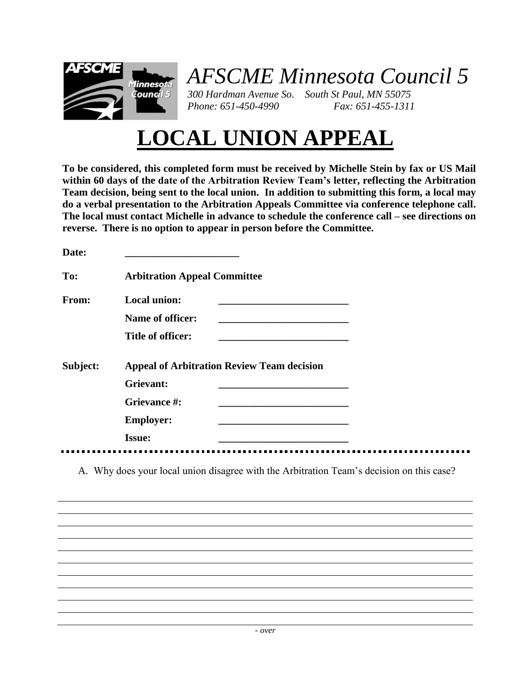

## *AFSCME Minnesota Council 5*

*300 Hardman Avenue So. South St Paul, MN 55075 Phone: 651-450-4990 Fax: 651-455-1311*

## **LOCAL UNION APPEAL**

**To be considered, this completed form must be received by Michelle Stein by fax or US Mail within 60 days of the date of the Arbitration Review Team's letter, reflecting the Arbitration Team decision, being sent to the local union. In addition to submitting this form, a local may do a verbal presentation to the Arbitration Appeals Committee via conference telephone call. The local must contact Michelle in advance to schedule the conference call – see directions on reverse. There is no option to appear in person before the Committee.**

| Date:    |                                                   |  |
|----------|---------------------------------------------------|--|
| To:      | <b>Arbitration Appeal Committee</b>               |  |
| From:    | <b>Local union:</b>                               |  |
|          | Name of officer:                                  |  |
|          | Title of officer:                                 |  |
| Subject: | <b>Appeal of Arbitration Review Team decision</b> |  |
|          | Grievant:                                         |  |
|          | Grievance #:                                      |  |
|          | <b>Employer:</b>                                  |  |
|          | <b>Issue:</b>                                     |  |
|          |                                                   |  |

A. Why does your local union disagree with the Arbitration Team's decision on this case?